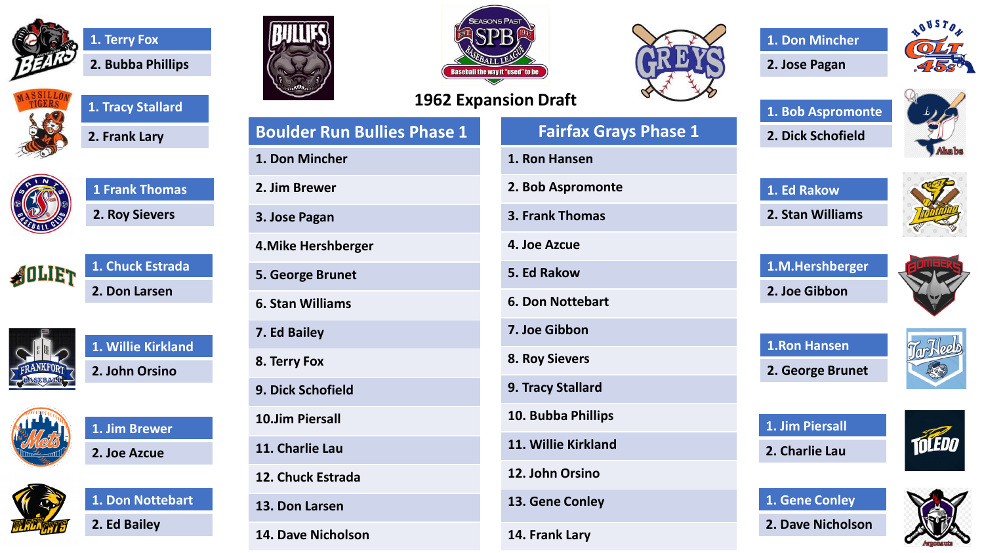









**1. Chuck Estrada 2. Don Larsen**



**1. Willie Kirkland 2. John Orsino**



**1. Jim Brewer 2. Joe Azcue**







**Boulder Run Bullies Phase 1**







**Fairfax Grays Phase 1**

**1. Don Mincher**

**2. Jose Pagan**







**1. Ed Rakow 2. Stan Williams**



**1.M.Hershberger 2. Joe Gibbon**



**1.Ron Hansen**



**2. George Brunet**

**1. Jim Piersall**

**2. Charlie Lau**

**1. Gene Conley**



**2. Dave Nicholson**



**14. Frank Lary**

**13. Don Larsen 14. Dave Nicholson**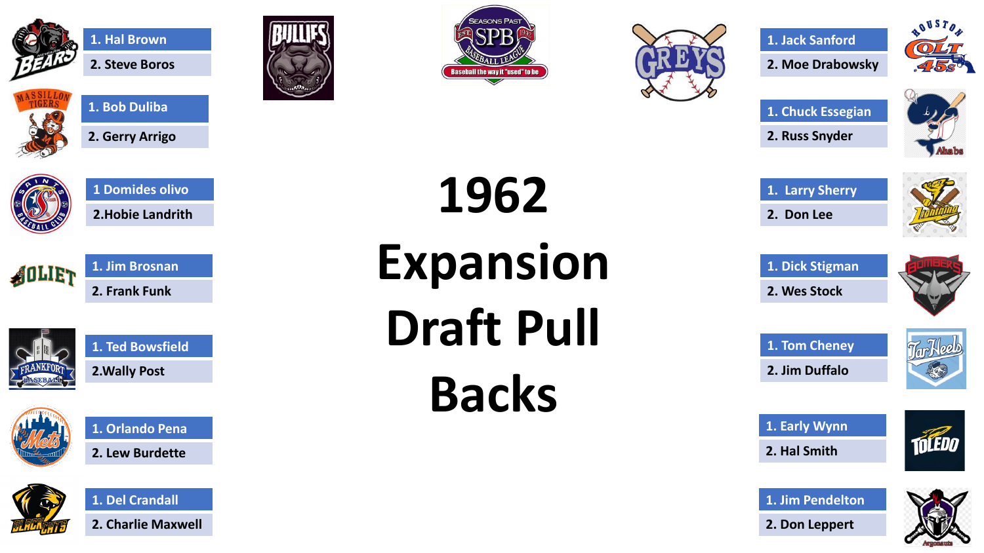



AOLIET

**2. Steve Boros**

**1. Bob Duliba**

**2. Gerry Arrigo**

**1 Domides olivo**

**2.Hobie Landrith**

**1. Jim Brosnan**

**2. Frank Funk**





**1962** 

**Expansion** 

**Draft Pull** 

**Backs** 







**1. Chuck Essegian 2. Russ Snyder**



**1. Larry Sherry 2. Don Lee**



**1. Dick Stigman 2. Wes Stock**



**1. Tom Cheney 2. Jim Duffalo**



**1. Early Wynn**



**1. Jim Pendelton**













**1. Ted Bowsfield 2.Wally Post**





**1. Del Crandall**

**2. Charlie Maxwell**